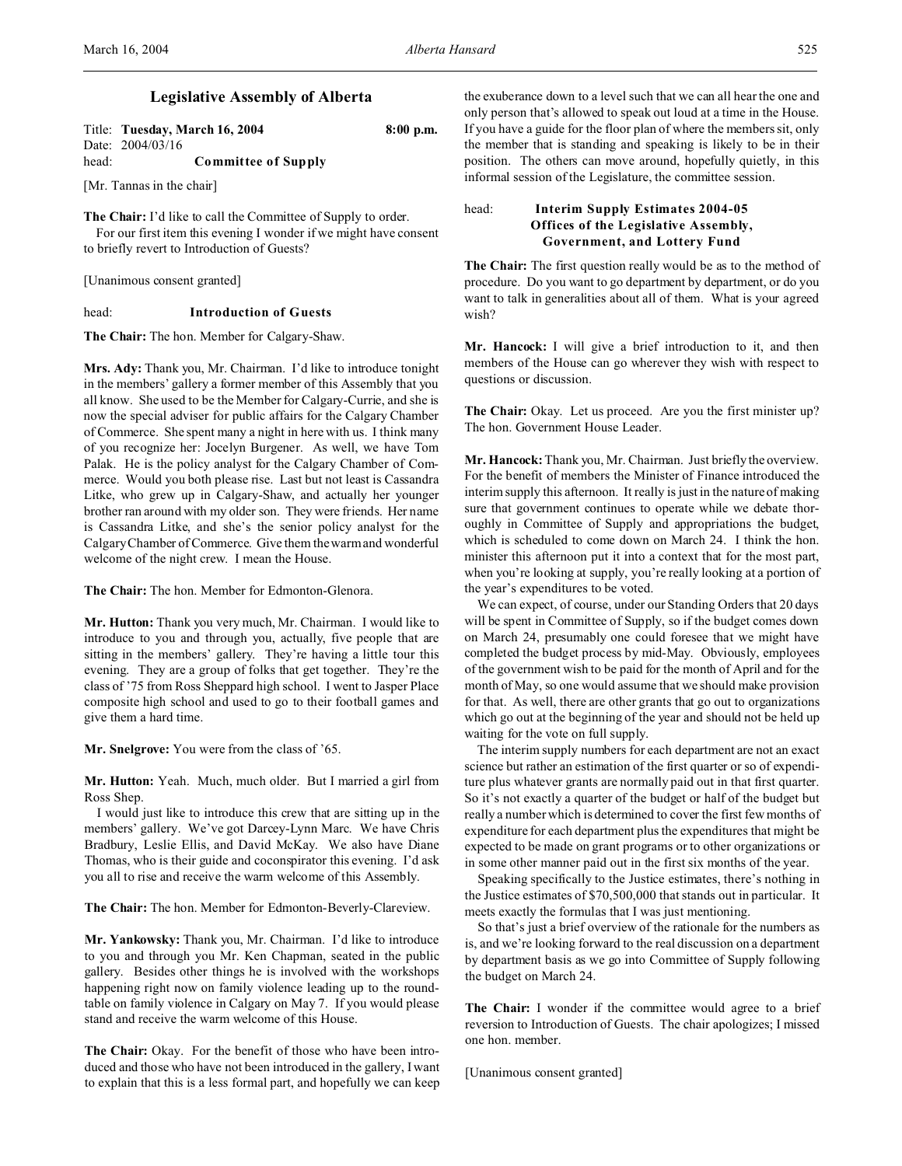# **Legislative Assembly of Alberta**

|       | Title: Tuesday, March 16, 2004 | $8:00$ p.m. |
|-------|--------------------------------|-------------|
|       | Date: 2004/03/16               |             |
| head: | <b>Committee of Supply</b>     |             |

[Mr. Tannas in the chair]

**The Chair:** I'd like to call the Committee of Supply to order. For our first item this evening I wonder if we might have consent to briefly revert to Introduction of Guests?

[Unanimous consent granted]

head: **Introduction of Guests**

**The Chair:** The hon. Member for Calgary-Shaw.

**Mrs. Ady:** Thank you, Mr. Chairman. I'd like to introduce tonight in the members' gallery a former member of this Assembly that you all know. She used to be the Member for Calgary-Currie, and she is now the special adviser for public affairs for the Calgary Chamber of Commerce. She spent many a night in here with us. I think many of you recognize her: Jocelyn Burgener. As well, we have Tom Palak. He is the policy analyst for the Calgary Chamber of Commerce. Would you both please rise. Last but not least is Cassandra Litke, who grew up in Calgary-Shaw, and actually her younger brother ran around with my older son. They were friends. Her name is Cassandra Litke, and she's the senior policy analyst for the Calgary Chamber of Commerce. Give them the warm and wonderful welcome of the night crew. I mean the House.

**The Chair:** The hon. Member for Edmonton-Glenora.

**Mr. Hutton:** Thank you very much, Mr. Chairman. I would like to introduce to you and through you, actually, five people that are sitting in the members' gallery. They're having a little tour this evening. They are a group of folks that get together. They're the class of '75 from Ross Sheppard high school. I went to Jasper Place composite high school and used to go to their football games and give them a hard time.

**Mr. Snelgrove:** You were from the class of '65.

**Mr. Hutton:** Yeah. Much, much older. But I married a girl from Ross Shep.

I would just like to introduce this crew that are sitting up in the members' gallery. We've got Darcey-Lynn Marc. We have Chris Bradbury, Leslie Ellis, and David McKay. We also have Diane Thomas, who is their guide and coconspirator this evening. I'd ask you all to rise and receive the warm welcome of this Assembly.

**The Chair:** The hon. Member for Edmonton-Beverly-Clareview.

**Mr. Yankowsky:** Thank you, Mr. Chairman. I'd like to introduce to you and through you Mr. Ken Chapman, seated in the public gallery. Besides other things he is involved with the workshops happening right now on family violence leading up to the roundtable on family violence in Calgary on May 7. If you would please stand and receive the warm welcome of this House.

**The Chair:** Okay. For the benefit of those who have been introduced and those who have not been introduced in the gallery, I want to explain that this is a less formal part, and hopefully we can keep

the exuberance down to a level such that we can all hear the one and only person that's allowed to speak out loud at a time in the House. If you have a guide for the floor plan of where the members sit, only the member that is standing and speaking is likely to be in their position. The others can move around, hopefully quietly, in this informal session of the Legislature, the committee session.

# head: **Interim Supply Estimates 2004-05 Offices of the Legislative Assembly, Government, and Lottery Fund**

**The Chair:** The first question really would be as to the method of procedure. Do you want to go department by department, or do you want to talk in generalities about all of them. What is your agreed wish?

**Mr. Hancock:** I will give a brief introduction to it, and then members of the House can go wherever they wish with respect to questions or discussion.

The Chair: Okay. Let us proceed. Are you the first minister up? The hon. Government House Leader.

**Mr. Hancock:** Thank you, Mr. Chairman. Just briefly the overview. For the benefit of members the Minister of Finance introduced the interim supply this afternoon. It really is just in the nature of making sure that government continues to operate while we debate thoroughly in Committee of Supply and appropriations the budget, which is scheduled to come down on March 24. I think the hon. minister this afternoon put it into a context that for the most part, when you're looking at supply, you're really looking at a portion of the year's expenditures to be voted.

We can expect, of course, under our Standing Orders that 20 days will be spent in Committee of Supply, so if the budget comes down on March 24, presumably one could foresee that we might have completed the budget process by mid-May. Obviously, employees of the government wish to be paid for the month of April and for the month of May, so one would assume that we should make provision for that. As well, there are other grants that go out to organizations which go out at the beginning of the year and should not be held up waiting for the vote on full supply.

The interim supply numbers for each department are not an exact science but rather an estimation of the first quarter or so of expenditure plus whatever grants are normally paid out in that first quarter. So it's not exactly a quarter of the budget or half of the budget but really a number which is determined to cover the first few months of expenditure for each department plus the expenditures that might be expected to be made on grant programs or to other organizations or in some other manner paid out in the first six months of the year.

Speaking specifically to the Justice estimates, there's nothing in the Justice estimates of \$70,500,000 that stands out in particular. It meets exactly the formulas that I was just mentioning.

So that's just a brief overview of the rationale for the numbers as is, and we're looking forward to the real discussion on a department by department basis as we go into Committee of Supply following the budget on March 24.

**The Chair:** I wonder if the committee would agree to a brief reversion to Introduction of Guests. The chair apologizes; I missed one hon. member.

[Unanimous consent granted]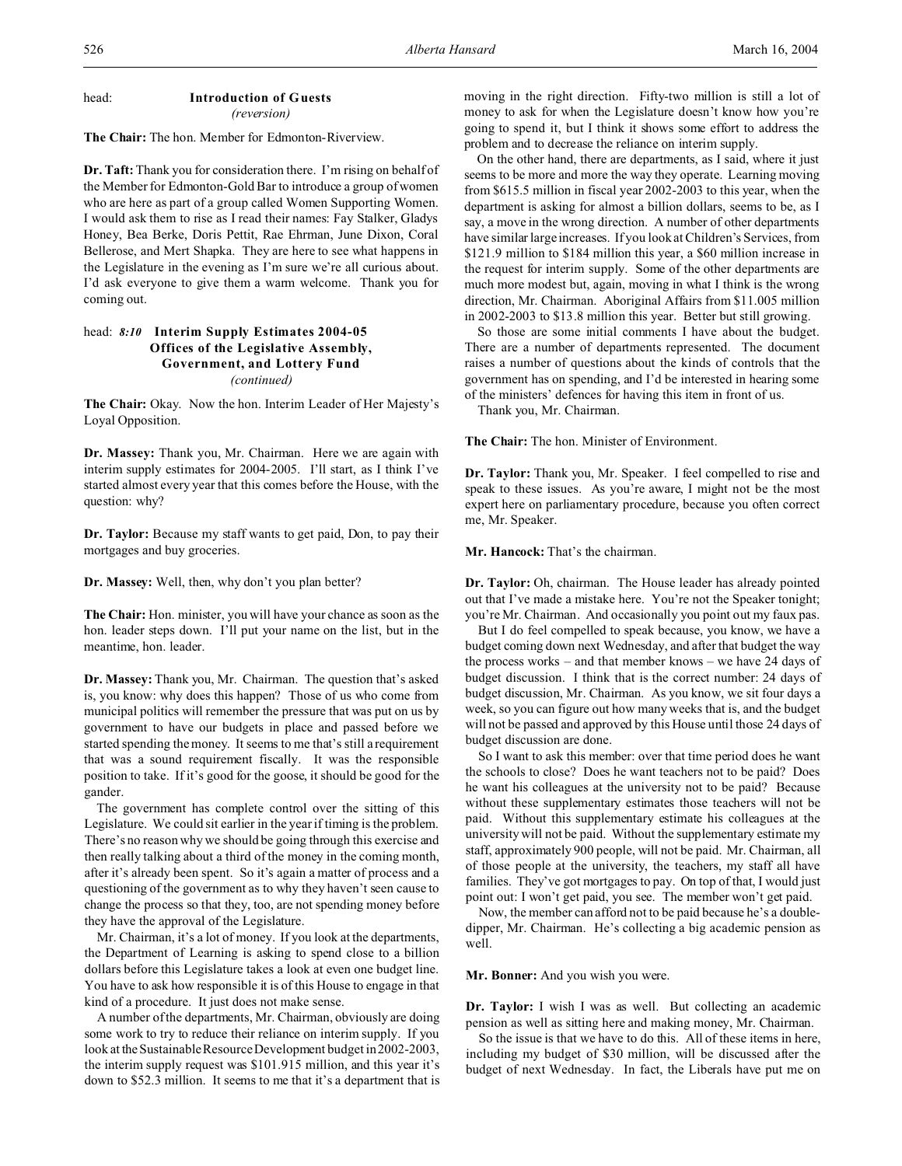#### head: **Introduction of Guests** *(reversion)*

**The Chair:** The hon. Member for Edmonton-Riverview.

**Dr. Taft:** Thank you for consideration there. I'm rising on behalf of the Member for Edmonton-Gold Bar to introduce a group of women who are here as part of a group called Women Supporting Women. I would ask them to rise as I read their names: Fay Stalker, Gladys Honey, Bea Berke, Doris Pettit, Rae Ehrman, June Dixon, Coral Bellerose, and Mert Shapka. They are here to see what happens in the Legislature in the evening as I'm sure we're all curious about. I'd ask everyone to give them a warm welcome. Thank you for coming out.

## head: *8:10* **Interim Supply Estimates 2004-05 Offices of the Legislative Assembly, Government, and Lottery Fund** *(continued)*

**The Chair:** Okay. Now the hon. Interim Leader of Her Majesty's Loyal Opposition.

**Dr. Massey:** Thank you, Mr. Chairman. Here we are again with interim supply estimates for 2004-2005. I'll start, as I think I've started almost every year that this comes before the House, with the question: why?

**Dr. Taylor:** Because my staff wants to get paid, Don, to pay their mortgages and buy groceries.

**Dr. Massey:** Well, then, why don't you plan better?

**The Chair:** Hon. minister, you will have your chance as soon as the hon. leader steps down. I'll put your name on the list, but in the meantime, hon. leader.

**Dr. Massey:** Thank you, Mr. Chairman. The question that's asked is, you know: why does this happen? Those of us who come from municipal politics will remember the pressure that was put on us by government to have our budgets in place and passed before we started spending the money. It seems to me that's still a requirement that was a sound requirement fiscally. It was the responsible position to take. If it's good for the goose, it should be good for the gander.

The government has complete control over the sitting of this Legislature. We could sit earlier in the year if timing is the problem. There's no reason why we should be going through this exercise and then really talking about a third of the money in the coming month, after it's already been spent. So it's again a matter of process and a questioning of the government as to why they haven't seen cause to change the process so that they, too, are not spending money before they have the approval of the Legislature.

Mr. Chairman, it's a lot of money. If you look at the departments, the Department of Learning is asking to spend close to a billion dollars before this Legislature takes a look at even one budget line. You have to ask how responsible it is of this House to engage in that kind of a procedure. It just does not make sense.

A number of the departments, Mr. Chairman, obviously are doing some work to try to reduce their reliance on interim supply. If you look at the Sustainable Resource Development budget in 2002-2003, the interim supply request was \$101.915 million, and this year it's down to \$52.3 million. It seems to me that it's a department that is

moving in the right direction. Fifty-two million is still a lot of money to ask for when the Legislature doesn't know how you're going to spend it, but I think it shows some effort to address the problem and to decrease the reliance on interim supply.

On the other hand, there are departments, as I said, where it just seems to be more and more the way they operate. Learning moving from \$615.5 million in fiscal year 2002-2003 to this year, when the department is asking for almost a billion dollars, seems to be, as I say, a move in the wrong direction. A number of other departments have similar large increases. If you look at Children's Services, from \$121.9 million to \$184 million this year, a \$60 million increase in the request for interim supply. Some of the other departments are much more modest but, again, moving in what I think is the wrong direction, Mr. Chairman. Aboriginal Affairs from \$11.005 million in 2002-2003 to \$13.8 million this year. Better but still growing.

So those are some initial comments I have about the budget. There are a number of departments represented. The document raises a number of questions about the kinds of controls that the government has on spending, and I'd be interested in hearing some of the ministers' defences for having this item in front of us.

Thank you, Mr. Chairman.

**The Chair:** The hon. Minister of Environment.

**Dr. Taylor:** Thank you, Mr. Speaker. I feel compelled to rise and speak to these issues. As you're aware, I might not be the most expert here on parliamentary procedure, because you often correct me, Mr. Speaker.

**Mr. Hancock:** That's the chairman.

**Dr. Taylor:** Oh, chairman. The House leader has already pointed out that I've made a mistake here. You're not the Speaker tonight; you're Mr. Chairman. And occasionally you point out my faux pas.

But I do feel compelled to speak because, you know, we have a budget coming down next Wednesday, and after that budget the way the process works – and that member knows – we have 24 days of budget discussion. I think that is the correct number: 24 days of budget discussion, Mr. Chairman. As you know, we sit four days a week, so you can figure out how many weeks that is, and the budget will not be passed and approved by this House until those 24 days of budget discussion are done.

So I want to ask this member: over that time period does he want the schools to close? Does he want teachers not to be paid? Does he want his colleagues at the university not to be paid? Because without these supplementary estimates those teachers will not be paid. Without this supplementary estimate his colleagues at the university will not be paid. Without the supplementary estimate my staff, approximately 900 people, will not be paid. Mr. Chairman, all of those people at the university, the teachers, my staff all have families. They've got mortgages to pay. On top of that, I would just point out: I won't get paid, you see. The member won't get paid.

Now, the member can afford not to be paid because he's a doubledipper, Mr. Chairman. He's collecting a big academic pension as well.

**Mr. Bonner:** And you wish you were.

**Dr. Taylor:** I wish I was as well. But collecting an academic pension as well as sitting here and making money, Mr. Chairman.

So the issue is that we have to do this. All of these items in here, including my budget of \$30 million, will be discussed after the budget of next Wednesday. In fact, the Liberals have put me on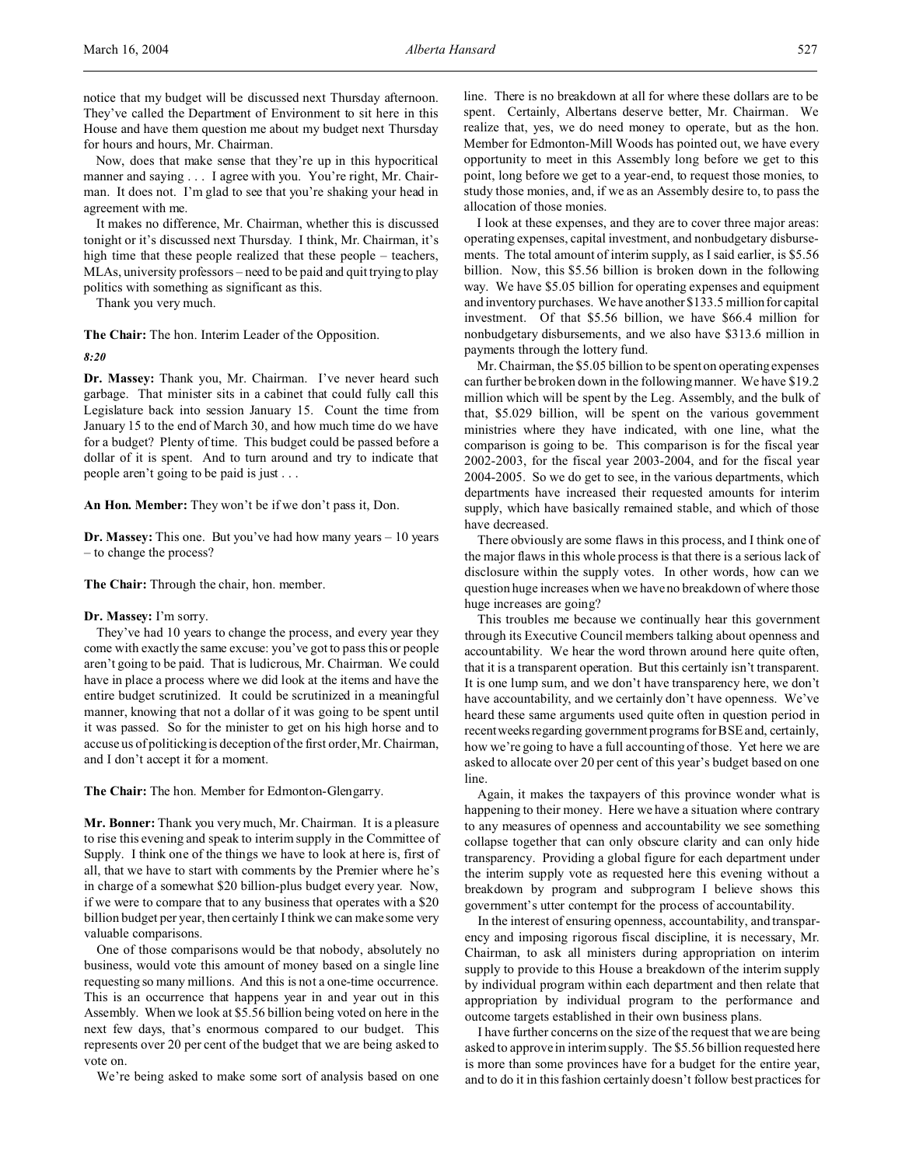Now, does that make sense that they're up in this hypocritical manner and saying . . . I agree with you. You're right, Mr. Chairman. It does not. I'm glad to see that you're shaking your head in agreement with me.

It makes no difference, Mr. Chairman, whether this is discussed tonight or it's discussed next Thursday. I think, Mr. Chairman, it's high time that these people realized that these people – teachers, MLAs, university professors – need to be paid and quit trying to play politics with something as significant as this.

Thank you very much.

**The Chair:** The hon. Interim Leader of the Opposition.

*8:20*

**Dr. Massey:** Thank you, Mr. Chairman. I've never heard such garbage. That minister sits in a cabinet that could fully call this Legislature back into session January 15. Count the time from January 15 to the end of March 30, and how much time do we have for a budget? Plenty of time. This budget could be passed before a dollar of it is spent. And to turn around and try to indicate that people aren't going to be paid is just . . .

**An Hon. Member:** They won't be if we don't pass it, Don.

**Dr. Massey:** This one. But you've had how many years – 10 years – to change the process?

**The Chair:** Through the chair, hon. member.

#### **Dr. Massey:** I'm sorry.

They've had 10 years to change the process, and every year they come with exactly the same excuse: you've got to pass this or people aren't going to be paid. That is ludicrous, Mr. Chairman. We could have in place a process where we did look at the items and have the entire budget scrutinized. It could be scrutinized in a meaningful manner, knowing that not a dollar of it was going to be spent until it was passed. So for the minister to get on his high horse and to accuse us of politicking is deception of the first order, Mr. Chairman, and I don't accept it for a moment.

**The Chair:** The hon. Member for Edmonton-Glengarry.

**Mr. Bonner:** Thank you very much, Mr. Chairman. It is a pleasure to rise this evening and speak to interim supply in the Committee of Supply. I think one of the things we have to look at here is, first of all, that we have to start with comments by the Premier where he's in charge of a somewhat \$20 billion-plus budget every year. Now, if we were to compare that to any business that operates with a \$20 billion budget per year, then certainly I think we can make some very valuable comparisons.

One of those comparisons would be that nobody, absolutely no business, would vote this amount of money based on a single line requesting so many millions. And this is not a one-time occurrence. This is an occurrence that happens year in and year out in this Assembly. When we look at \$5.56 billion being voted on here in the next few days, that's enormous compared to our budget. This represents over 20 per cent of the budget that we are being asked to vote on.

We're being asked to make some sort of analysis based on one

line. There is no breakdown at all for where these dollars are to be spent. Certainly, Albertans deserve better, Mr. Chairman. We realize that, yes, we do need money to operate, but as the hon. Member for Edmonton-Mill Woods has pointed out, we have every opportunity to meet in this Assembly long before we get to this point, long before we get to a year-end, to request those monies, to study those monies, and, if we as an Assembly desire to, to pass the allocation of those monies.

I look at these expenses, and they are to cover three major areas: operating expenses, capital investment, and nonbudgetary disbursements. The total amount of interim supply, as I said earlier, is \$5.56 billion. Now, this \$5.56 billion is broken down in the following way. We have \$5.05 billion for operating expenses and equipment and inventory purchases. We have another \$133.5 million for capital investment. Of that \$5.56 billion, we have \$66.4 million for nonbudgetary disbursements, and we also have \$313.6 million in payments through the lottery fund.

Mr. Chairman, the \$5.05 billion to be spent on operating expenses can further be broken down in the following manner. We have \$19.2 million which will be spent by the Leg. Assembly, and the bulk of that, \$5.029 billion, will be spent on the various government ministries where they have indicated, with one line, what the comparison is going to be. This comparison is for the fiscal year 2002-2003, for the fiscal year 2003-2004, and for the fiscal year 2004-2005. So we do get to see, in the various departments, which departments have increased their requested amounts for interim supply, which have basically remained stable, and which of those have decreased.

There obviously are some flaws in this process, and I think one of the major flaws in this whole process is that there is a serious lack of disclosure within the supply votes. In other words, how can we question huge increases when we have no breakdown of where those huge increases are going?

This troubles me because we continually hear this government through its Executive Council members talking about openness and accountability. We hear the word thrown around here quite often, that it is a transparent operation. But this certainly isn't transparent. It is one lump sum, and we don't have transparency here, we don't have accountability, and we certainly don't have openness. We've heard these same arguments used quite often in question period in recentweeks regarding government programs for BSE and, certainly, how we're going to have a full accounting of those. Yet here we are asked to allocate over 20 per cent of this year's budget based on one line.

Again, it makes the taxpayers of this province wonder what is happening to their money. Here we have a situation where contrary to any measures of openness and accountability we see something collapse together that can only obscure clarity and can only hide transparency. Providing a global figure for each department under the interim supply vote as requested here this evening without a breakdown by program and subprogram I believe shows this government's utter contempt for the process of accountability.

In the interest of ensuring openness, accountability, and transparency and imposing rigorous fiscal discipline, it is necessary, Mr. Chairman, to ask all ministers during appropriation on interim supply to provide to this House a breakdown of the interim supply by individual program within each department and then relate that appropriation by individual program to the performance and outcome targets established in their own business plans.

I have further concerns on the size of the request that we are being asked to approve in interim supply. The \$5.56 billion requested here is more than some provinces have for a budget for the entire year, and to do it in this fashion certainly doesn't follow best practices for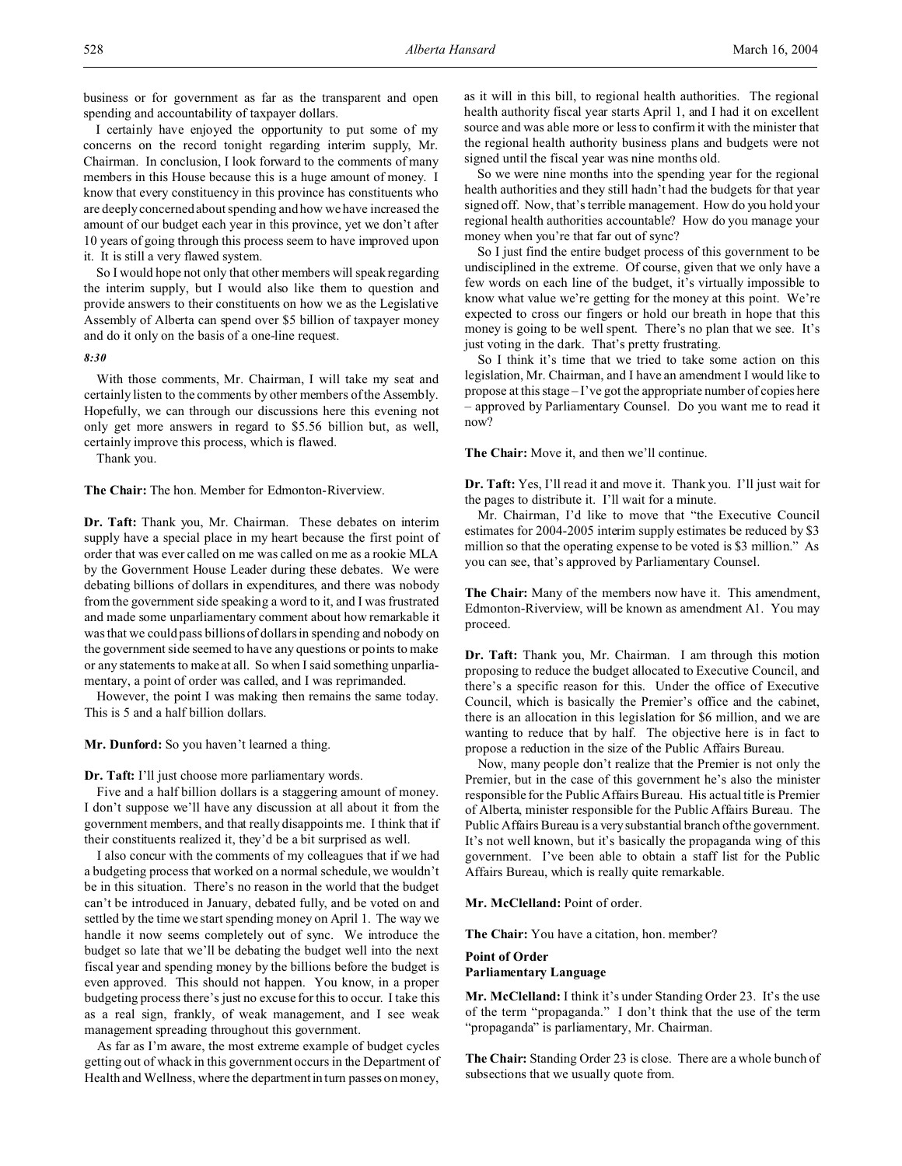business or for government as far as the transparent and open spending and accountability of taxpayer dollars.

I certainly have enjoyed the opportunity to put some of my concerns on the record tonight regarding interim supply, Mr. Chairman. In conclusion, I look forward to the comments of many members in this House because this is a huge amount of money. I know that every constituency in this province has constituents who are deeply concerned about spending and how we have increased the amount of our budget each year in this province, yet we don't after 10 years of going through this process seem to have improved upon it. It is still a very flawed system.

So I would hope not only that other members will speak regarding the interim supply, but I would also like them to question and provide answers to their constituents on how we as the Legislative Assembly of Alberta can spend over \$5 billion of taxpayer money and do it only on the basis of a one-line request.

#### *8:30*

With those comments, Mr. Chairman, I will take my seat and certainly listen to the comments by other members of the Assembly. Hopefully, we can through our discussions here this evening not only get more answers in regard to \$5.56 billion but, as well, certainly improve this process, which is flawed.

Thank you.

**The Chair:** The hon. Member for Edmonton-Riverview.

**Dr. Taft:** Thank you, Mr. Chairman. These debates on interim supply have a special place in my heart because the first point of order that was ever called on me was called on me as a rookie MLA by the Government House Leader during these debates. We were debating billions of dollars in expenditures, and there was nobody from the government side speaking a word to it, and I was frustrated and made some unparliamentary comment about how remarkable it was that we could pass billions of dollars in spending and nobody on the government side seemed to have any questions or points to make or any statements to make at all. So when I said something unparliamentary, a point of order was called, and I was reprimanded.

However, the point I was making then remains the same today. This is 5 and a half billion dollars.

**Mr. Dunford:** So you haven't learned a thing.

**Dr. Taft:** I'll just choose more parliamentary words.

Five and a half billion dollars is a staggering amount of money. I don't suppose we'll have any discussion at all about it from the government members, and that really disappoints me. I think that if their constituents realized it, they'd be a bit surprised as well.

I also concur with the comments of my colleagues that if we had a budgeting process that worked on a normal schedule, we wouldn't be in this situation. There's no reason in the world that the budget can't be introduced in January, debated fully, and be voted on and settled by the time we start spending money on April 1. The way we handle it now seems completely out of sync. We introduce the budget so late that we'll be debating the budget well into the next fiscal year and spending money by the billions before the budget is even approved. This should not happen. You know, in a proper budgeting process there's just no excuse for this to occur. I take this as a real sign, frankly, of weak management, and I see weak management spreading throughout this government.

As far as I'm aware, the most extreme example of budget cycles getting out of whack in this government occurs in the Department of Health and Wellness, where the department in turn passes on money,

as it will in this bill, to regional health authorities. The regional health authority fiscal year starts April 1, and I had it on excellent source and was able more or less to confirm it with the minister that the regional health authority business plans and budgets were not signed until the fiscal year was nine months old.

So we were nine months into the spending year for the regional health authorities and they still hadn't had the budgets for that year signed off. Now, that's terrible management. How do you hold your regional health authorities accountable? How do you manage your money when you're that far out of sync?

So I just find the entire budget process of this government to be undisciplined in the extreme. Of course, given that we only have a few words on each line of the budget, it's virtually impossible to know what value we're getting for the money at this point. We're expected to cross our fingers or hold our breath in hope that this money is going to be well spent. There's no plan that we see. It's just voting in the dark. That's pretty frustrating.

So I think it's time that we tried to take some action on this legislation, Mr. Chairman, and I have an amendment I would like to propose at this stage – I've got the appropriate number of copies here – approved by Parliamentary Counsel. Do you want me to read it now?

**The Chair:** Move it, and then we'll continue.

**Dr. Taft:** Yes, I'll read it and move it. Thank you. I'll just wait for the pages to distribute it. I'll wait for a minute.

Mr. Chairman, I'd like to move that "the Executive Council estimates for 2004-2005 interim supply estimates be reduced by \$3 million so that the operating expense to be voted is \$3 million." As you can see, that's approved by Parliamentary Counsel.

**The Chair:** Many of the members now have it. This amendment, Edmonton-Riverview, will be known as amendment A1. You may proceed.

**Dr. Taft:** Thank you, Mr. Chairman. I am through this motion proposing to reduce the budget allocated to Executive Council, and there's a specific reason for this. Under the office of Executive Council, which is basically the Premier's office and the cabinet, there is an allocation in this legislation for \$6 million, and we are wanting to reduce that by half. The objective here is in fact to propose a reduction in the size of the Public Affairs Bureau.

Now, many people don't realize that the Premier is not only the Premier, but in the case of this government he's also the minister responsible for the Public Affairs Bureau. His actual title is Premier of Alberta, minister responsible for the Public Affairs Bureau. The Public Affairs Bureau is a very substantial branch of the government. It's not well known, but it's basically the propaganda wing of this government. I've been able to obtain a staff list for the Public Affairs Bureau, which is really quite remarkable.

**Mr. McClelland:** Point of order.

**The Chair:** You have a citation, hon. member?

### **Point of Order Parliamentary Language**

**Mr. McClelland:** I think it's under Standing Order 23. It's the use of the term "propaganda." I don't think that the use of the term "propaganda" is parliamentary, Mr. Chairman.

**The Chair:** Standing Order 23 is close. There are a whole bunch of subsections that we usually quote from.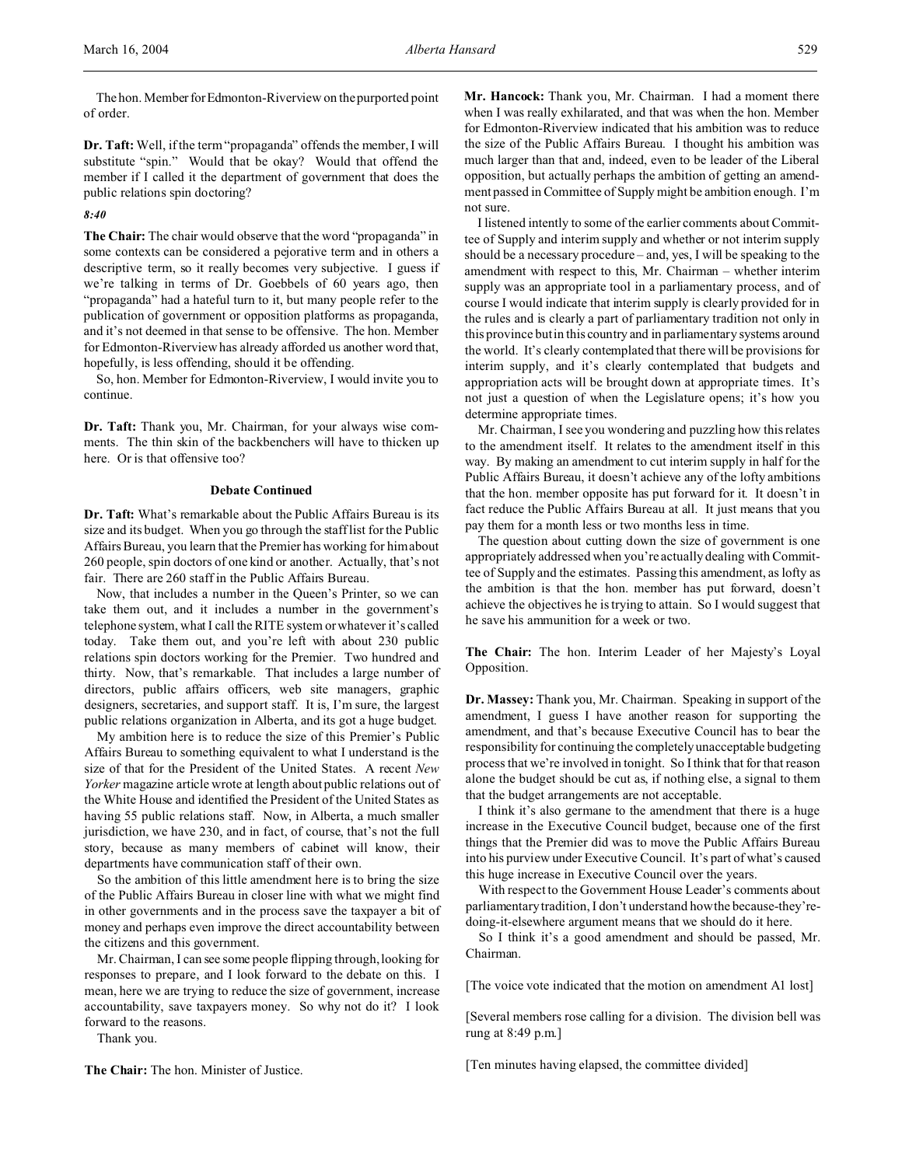The hon. Member for Edmonton-Riverview on the purported point of order.

**Dr. Taft:** Well, if the term "propaganda" offends the member, I will substitute "spin." Would that be okay? Would that offend the member if I called it the department of government that does the public relations spin doctoring?

*8:40*

**The Chair:** The chair would observe that the word "propaganda" in some contexts can be considered a pejorative term and in others a descriptive term, so it really becomes very subjective. I guess if we're talking in terms of Dr. Goebbels of 60 years ago, then "propaganda" had a hateful turn to it, but many people refer to the publication of government or opposition platforms as propaganda, and it's not deemed in that sense to be offensive. The hon. Member for Edmonton-Riverview has already afforded us another word that, hopefully, is less offending, should it be offending.

So, hon. Member for Edmonton-Riverview, I would invite you to continue.

**Dr. Taft:** Thank you, Mr. Chairman, for your always wise comments. The thin skin of the backbenchers will have to thicken up here. Or is that offensive too?

### **Debate Continued**

**Dr. Taft:** What's remarkable about the Public Affairs Bureau is its size and its budget. When you go through the staff list for the Public Affairs Bureau, you learn that the Premier has working for him about 260 people, spin doctors of one kind or another. Actually, that's not fair. There are 260 staff in the Public Affairs Bureau.

Now, that includes a number in the Queen's Printer, so we can take them out, and it includes a number in the government's telephone system, what I call the RITE system or whatever it's called today. Take them out, and you're left with about 230 public relations spin doctors working for the Premier. Two hundred and thirty. Now, that's remarkable. That includes a large number of directors, public affairs officers, web site managers, graphic designers, secretaries, and support staff. It is, I'm sure, the largest public relations organization in Alberta, and its got a huge budget.

My ambition here is to reduce the size of this Premier's Public Affairs Bureau to something equivalent to what I understand is the size of that for the President of the United States. A recent *New Yorker* magazine article wrote at length about public relations out of the White House and identified the President of the United States as having 55 public relations staff. Now, in Alberta, a much smaller jurisdiction, we have 230, and in fact, of course, that's not the full story, because as many members of cabinet will know, their departments have communication staff of their own.

So the ambition of this little amendment here is to bring the size of the Public Affairs Bureau in closer line with what we might find in other governments and in the process save the taxpayer a bit of money and perhaps even improve the direct accountability between the citizens and this government.

Mr. Chairman, I can see some people flipping through, looking for responses to prepare, and I look forward to the debate on this. I mean, here we are trying to reduce the size of government, increase accountability, save taxpayers money. So why not do it? I look forward to the reasons.

Thank you.

**The Chair:** The hon. Minister of Justice.

**Mr. Hancock:** Thank you, Mr. Chairman. I had a moment there when I was really exhilarated, and that was when the hon. Member for Edmonton-Riverview indicated that his ambition was to reduce the size of the Public Affairs Bureau. I thought his ambition was much larger than that and, indeed, even to be leader of the Liberal opposition, but actually perhaps the ambition of getting an amendment passed in Committee of Supply might be ambition enough. I'm not sure.

I listened intently to some of the earlier comments about Committee of Supply and interim supply and whether or not interim supply should be a necessary procedure – and, yes, I will be speaking to the amendment with respect to this, Mr. Chairman – whether interim supply was an appropriate tool in a parliamentary process, and of course I would indicate that interim supply is clearly provided for in the rules and is clearly a part of parliamentary tradition not only in this province but in this country and in parliamentary systems around the world. It's clearly contemplated that there will be provisions for interim supply, and it's clearly contemplated that budgets and appropriation acts will be brought down at appropriate times. It's not just a question of when the Legislature opens; it's how you determine appropriate times.

Mr. Chairman, I see you wondering and puzzling how this relates to the amendment itself. It relates to the amendment itself in this way. By making an amendment to cut interim supply in half for the Public Affairs Bureau, it doesn't achieve any of the lofty ambitions that the hon. member opposite has put forward for it. It doesn't in fact reduce the Public Affairs Bureau at all. It just means that you pay them for a month less or two months less in time.

The question about cutting down the size of government is one appropriately addressed when you're actually dealing with Committee of Supply and the estimates. Passing this amendment, as lofty as the ambition is that the hon. member has put forward, doesn't achieve the objectives he is trying to attain. So I would suggest that he save his ammunition for a week or two.

**The Chair:** The hon. Interim Leader of her Majesty's Loyal Opposition.

**Dr. Massey:** Thank you, Mr. Chairman. Speaking in support of the amendment, I guess I have another reason for supporting the amendment, and that's because Executive Council has to bear the responsibility for continuing the completely unacceptable budgeting process that we're involved in tonight. So I think that for that reason alone the budget should be cut as, if nothing else, a signal to them that the budget arrangements are not acceptable.

I think it's also germane to the amendment that there is a huge increase in the Executive Council budget, because one of the first things that the Premier did was to move the Public Affairs Bureau into his purview under Executive Council. It's part of what's caused this huge increase in Executive Council over the years.

With respect to the Government House Leader's comments about parliamentary tradition, I don't understand how the because-they'redoing-it-elsewhere argument means that we should do it here.

So I think it's a good amendment and should be passed, Mr. Chairman.

[The voice vote indicated that the motion on amendment A1 lost]

[Several members rose calling for a division. The division bell was rung at 8:49 p.m.]

[Ten minutes having elapsed, the committee divided]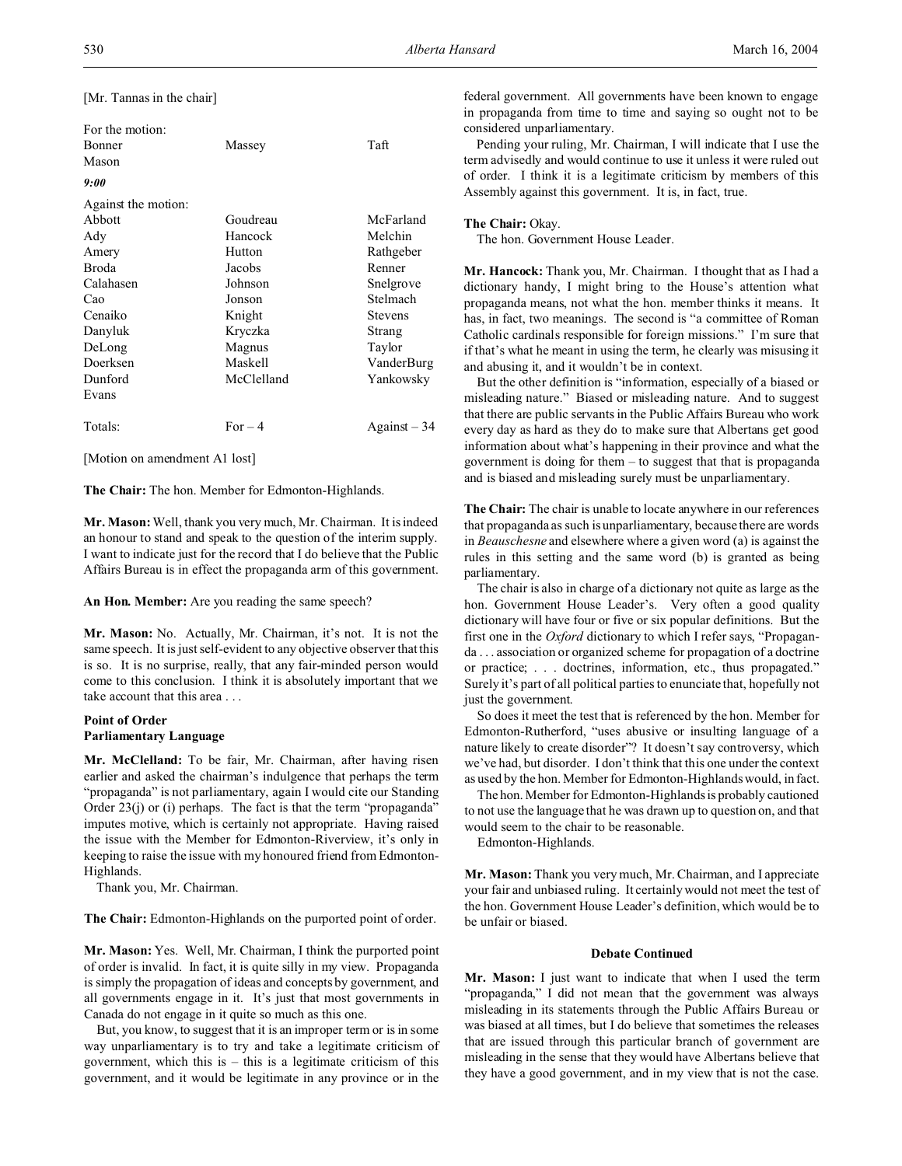[Mr. Tannas in the chair]

| For the motion:<br>Bonner<br>Mason | Massey     | Taft           |
|------------------------------------|------------|----------------|
| 9:00                               |            |                |
| Against the motion:                |            |                |
| Abbott                             | Goudreau   | McFarland      |
| Ady                                | Hancock    | Melchin        |
| Amery                              | Hutton     | Rathgeber      |
| Broda                              | Jacobs     | Renner         |
| Calahasen                          | Johnson    | Snelgrove      |
| Cao                                | Jonson     | Stelmach       |
| Cenaiko                            | Knight     | <b>Stevens</b> |
| Danyluk                            | Kryczka    | Strang         |
| DeLong                             | Magnus     | Taylor         |
| Doerksen                           | Maskell    | VanderBurg     |
| Dunford                            | McClelland | Yankowsky      |
| Evans                              |            |                |
| Totals:                            | $For-4$    | $Against-34$   |

[Motion on amendment A1 lost]

**The Chair:** The hon. Member for Edmonton-Highlands.

**Mr. Mason:** Well, thank you very much, Mr. Chairman. It is indeed an honour to stand and speak to the question of the interim supply. I want to indicate just for the record that I do believe that the Public Affairs Bureau is in effect the propaganda arm of this government.

**An Hon. Member:** Are you reading the same speech?

**Mr. Mason:** No. Actually, Mr. Chairman, it's not. It is not the same speech. It is just self-evident to any objective observer that this is so. It is no surprise, really, that any fair-minded person would come to this conclusion. I think it is absolutely important that we take account that this area . . .

# **Point of Order Parliamentary Language**

**Mr. McClelland:** To be fair, Mr. Chairman, after having risen earlier and asked the chairman's indulgence that perhaps the term "propaganda" is not parliamentary, again I would cite our Standing Order 23(j) or (i) perhaps. The fact is that the term "propaganda" imputes motive, which is certainly not appropriate. Having raised the issue with the Member for Edmonton-Riverview, it's only in keeping to raise the issue with my honoured friend from Edmonton-Highlands.

Thank you, Mr. Chairman.

**The Chair:** Edmonton-Highlands on the purported point of order.

**Mr. Mason:** Yes. Well, Mr. Chairman, I think the purported point of order is invalid. In fact, it is quite silly in my view. Propaganda is simply the propagation of ideas and concepts by government, and all governments engage in it. It's just that most governments in Canada do not engage in it quite so much as this one.

But, you know, to suggest that it is an improper term or is in some way unparliamentary is to try and take a legitimate criticism of government, which this is – this is a legitimate criticism of this government, and it would be legitimate in any province or in the

federal government. All governments have been known to engage in propaganda from time to time and saying so ought not to be considered unparliamentary.

Pending your ruling, Mr. Chairman, I will indicate that I use the term advisedly and would continue to use it unless it were ruled out of order. I think it is a legitimate criticism by members of this Assembly against this government. It is, in fact, true.

#### **The Chair:** Okay.

The hon. Government House Leader.

**Mr. Hancock:** Thank you, Mr. Chairman. I thought that as I had a dictionary handy, I might bring to the House's attention what propaganda means, not what the hon. member thinks it means. It has, in fact, two meanings. The second is "a committee of Roman Catholic cardinals responsible for foreign missions." I'm sure that if that's what he meant in using the term, he clearly was misusing it and abusing it, and it wouldn't be in context.

But the other definition is "information, especially of a biased or misleading nature." Biased or misleading nature. And to suggest that there are public servants in the Public Affairs Bureau who work every day as hard as they do to make sure that Albertans get good information about what's happening in their province and what the government is doing for them – to suggest that that is propaganda and is biased and misleading surely must be unparliamentary.

**The Chair:** The chair is unable to locate anywhere in our references that propaganda as such is unparliamentary, because there are words in *Beauschesne* and elsewhere where a given word (a) is against the rules in this setting and the same word (b) is granted as being parliamentary.

The chair is also in charge of a dictionary not quite as large as the hon. Government House Leader's. Very often a good quality dictionary will have four or five or six popular definitions. But the first one in the *Oxford* dictionary to which I refer says, "Propaganda . . . association or organized scheme for propagation of a doctrine or practice; . . . doctrines, information, etc., thus propagated." Surely it's part of all political parties to enunciate that, hopefully not just the government.

So does it meet the test that is referenced by the hon. Member for Edmonton-Rutherford, "uses abusive or insulting language of a nature likely to create disorder"? It doesn't say controversy, which we've had, but disorder. I don't think that this one under the context as used by the hon. Member for Edmonton-Highlands would, in fact.

The hon. Member for Edmonton-Highlands is probably cautioned to not use the language that he was drawn up to question on, and that would seem to the chair to be reasonable.

Edmonton-Highlands.

**Mr. Mason:** Thank you very much, Mr. Chairman, and I appreciate your fair and unbiased ruling. It certainly would not meet the test of the hon. Government House Leader's definition, which would be to be unfair or biased.

### **Debate Continued**

**Mr. Mason:** I just want to indicate that when I used the term "propaganda," I did not mean that the government was always misleading in its statements through the Public Affairs Bureau or was biased at all times, but I do believe that sometimes the releases that are issued through this particular branch of government are misleading in the sense that they would have Albertans believe that they have a good government, and in my view that is not the case.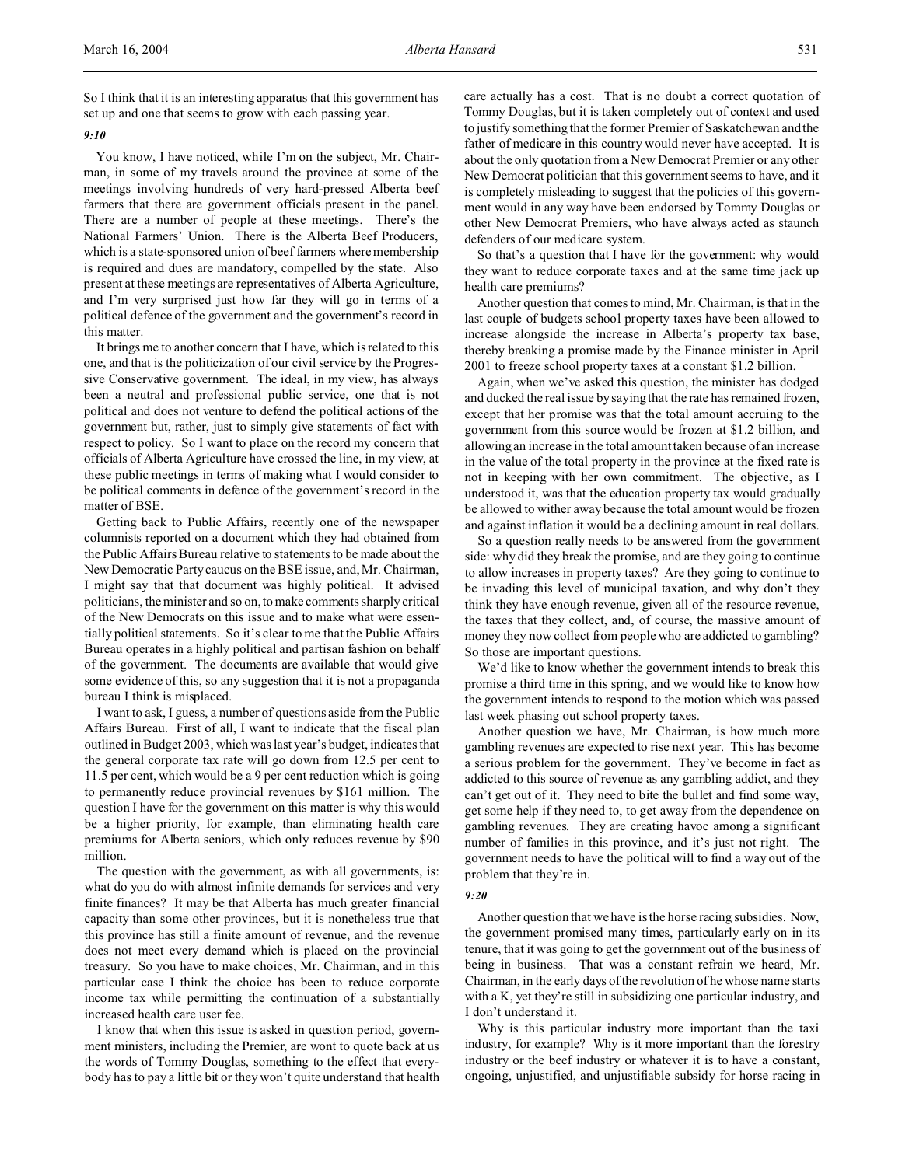So I think that it is an interesting apparatus that this government has set up and one that seems to grow with each passing year.

### *9:10*

You know, I have noticed, while I'm on the subject, Mr. Chairman, in some of my travels around the province at some of the meetings involving hundreds of very hard-pressed Alberta beef farmers that there are government officials present in the panel. There are a number of people at these meetings. There's the National Farmers' Union. There is the Alberta Beef Producers, which is a state-sponsored union of beef farmers where membership is required and dues are mandatory, compelled by the state. Also present at these meetings are representatives of Alberta Agriculture, and I'm very surprised just how far they will go in terms of a political defence of the government and the government's record in this matter.

It brings me to another concern that I have, which is related to this one, and that is the politicization of our civil service by the Progressive Conservative government. The ideal, in my view, has always been a neutral and professional public service, one that is not political and does not venture to defend the political actions of the government but, rather, just to simply give statements of fact with respect to policy. So I want to place on the record my concern that officials of Alberta Agriculture have crossed the line, in my view, at these public meetings in terms of making what I would consider to be political comments in defence of the government's record in the matter of BSE.

Getting back to Public Affairs, recently one of the newspaper columnists reported on a document which they had obtained from the Public Affairs Bureau relative to statements to be made about the New Democratic Party caucus on the BSE issue, and, Mr. Chairman, I might say that that document was highly political. It advised politicians, the minister and so on, to make comments sharply critical of the New Democrats on this issue and to make what were essentially political statements. So it's clear to me that the Public Affairs Bureau operates in a highly political and partisan fashion on behalf of the government. The documents are available that would give some evidence of this, so any suggestion that it is not a propaganda bureau I think is misplaced.

I want to ask, I guess, a number of questions aside from the Public Affairs Bureau. First of all, I want to indicate that the fiscal plan outlined in Budget 2003, which was last year's budget, indicates that the general corporate tax rate will go down from 12.5 per cent to 11.5 per cent, which would be a 9 per cent reduction which is going to permanently reduce provincial revenues by \$161 million. The question I have for the government on this matter is why this would be a higher priority, for example, than eliminating health care premiums for Alberta seniors, which only reduces revenue by \$90 million.

The question with the government, as with all governments, is: what do you do with almost infinite demands for services and very finite finances? It may be that Alberta has much greater financial capacity than some other provinces, but it is nonetheless true that this province has still a finite amount of revenue, and the revenue does not meet every demand which is placed on the provincial treasury. So you have to make choices, Mr. Chairman, and in this particular case I think the choice has been to reduce corporate income tax while permitting the continuation of a substantially increased health care user fee.

I know that when this issue is asked in question period, government ministers, including the Premier, are wont to quote back at us the words of Tommy Douglas, something to the effect that everybody has to pay a little bit or they won't quite understand that health care actually has a cost. That is no doubt a correct quotation of Tommy Douglas, but it is taken completely out of context and used to justify something that the former Premier of Saskatchewan and the father of medicare in this country would never have accepted. It is about the only quotation from a New Democrat Premier or any other New Democrat politician that this government seems to have, and it is completely misleading to suggest that the policies of this government would in any way have been endorsed by Tommy Douglas or other New Democrat Premiers, who have always acted as staunch defenders of our medicare system.

So that's a question that I have for the government: why would they want to reduce corporate taxes and at the same time jack up health care premiums?

Another question that comes to mind, Mr. Chairman, is that in the last couple of budgets school property taxes have been allowed to increase alongside the increase in Alberta's property tax base, thereby breaking a promise made by the Finance minister in April 2001 to freeze school property taxes at a constant \$1.2 billion.

Again, when we've asked this question, the minister has dodged and ducked the real issue by saying that the rate has remained frozen, except that her promise was that the total amount accruing to the government from this source would be frozen at \$1.2 billion, and allowing an increase in the total amount taken because of an increase in the value of the total property in the province at the fixed rate is not in keeping with her own commitment. The objective, as I understood it, was that the education property tax would gradually be allowed to wither away because the total amount would be frozen and against inflation it would be a declining amount in real dollars.

So a question really needs to be answered from the government side: why did they break the promise, and are they going to continue to allow increases in property taxes? Are they going to continue to be invading this level of municipal taxation, and why don't they think they have enough revenue, given all of the resource revenue, the taxes that they collect, and, of course, the massive amount of money they now collect from people who are addicted to gambling? So those are important questions.

We'd like to know whether the government intends to break this promise a third time in this spring, and we would like to know how the government intends to respond to the motion which was passed last week phasing out school property taxes.

Another question we have, Mr. Chairman, is how much more gambling revenues are expected to rise next year. This has become a serious problem for the government. They've become in fact as addicted to this source of revenue as any gambling addict, and they can't get out of it. They need to bite the bullet and find some way, get some help if they need to, to get away from the dependence on gambling revenues. They are creating havoc among a significant number of families in this province, and it's just not right. The government needs to have the political will to find a way out of the problem that they're in.

### *9:20*

Another question that we have is the horse racing subsidies. Now, the government promised many times, particularly early on in its tenure, that it was going to get the government out of the business of being in business. That was a constant refrain we heard, Mr. Chairman, in the early days of the revolution of he whose name starts with a K, yet they're still in subsidizing one particular industry, and I don't understand it.

Why is this particular industry more important than the taxi industry, for example? Why is it more important than the forestry industry or the beef industry or whatever it is to have a constant, ongoing, unjustified, and unjustifiable subsidy for horse racing in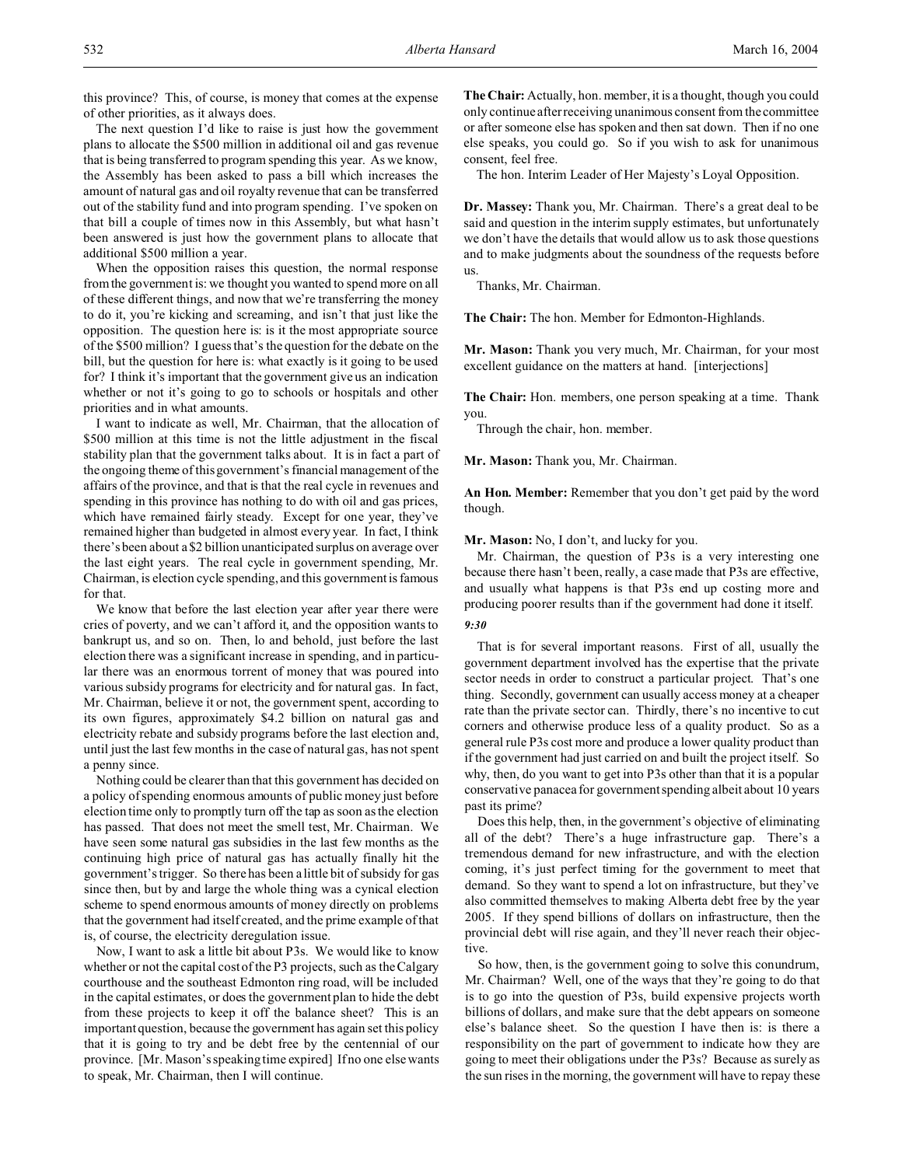this province? This, of course, is money that comes at the expense of other priorities, as it always does.

The next question I'd like to raise is just how the government plans to allocate the \$500 million in additional oil and gas revenue that is being transferred to program spending this year. As we know, the Assembly has been asked to pass a bill which increases the amount of natural gas and oil royalty revenue that can be transferred out of the stability fund and into program spending. I've spoken on that bill a couple of times now in this Assembly, but what hasn't been answered is just how the government plans to allocate that additional \$500 million a year.

When the opposition raises this question, the normal response from the government is: we thought you wanted to spend more on all of these different things, and now that we're transferring the money to do it, you're kicking and screaming, and isn't that just like the opposition. The question here is: is it the most appropriate source of the \$500 million? I guess that's the question for the debate on the bill, but the question for here is: what exactly is it going to be used for? I think it's important that the government give us an indication whether or not it's going to go to schools or hospitals and other priorities and in what amounts.

I want to indicate as well, Mr. Chairman, that the allocation of \$500 million at this time is not the little adjustment in the fiscal stability plan that the government talks about. It is in fact a part of the ongoing theme of this government's financial management of the affairs of the province, and that is that the real cycle in revenues and spending in this province has nothing to do with oil and gas prices, which have remained fairly steady. Except for one year, they've remained higher than budgeted in almost every year. In fact, I think there's been about a \$2 billion unanticipated surplus on average over the last eight years. The real cycle in government spending, Mr. Chairman, is election cycle spending, and this government is famous for that.

We know that before the last election year after year there were cries of poverty, and we can't afford it, and the opposition wants to bankrupt us, and so on. Then, lo and behold, just before the last election there was a significant increase in spending, and in particular there was an enormous torrent of money that was poured into various subsidy programs for electricity and for natural gas. In fact, Mr. Chairman, believe it or not, the government spent, according to its own figures, approximately \$4.2 billion on natural gas and electricity rebate and subsidy programs before the last election and, until just the last few months in the case of natural gas, has not spent a penny since.

Nothing could be clearer than that this government has decided on a policy of spending enormous amounts of public money just before election time only to promptly turn off the tap as soon as the election has passed. That does not meet the smell test, Mr. Chairman. We have seen some natural gas subsidies in the last few months as the continuing high price of natural gas has actually finally hit the government's trigger. So there has been a little bit of subsidy for gas since then, but by and large the whole thing was a cynical election scheme to spend enormous amounts of money directly on problems that the government had itself created, and the prime example of that is, of course, the electricity deregulation issue.

Now, I want to ask a little bit about P3s. We would like to know whether or not the capital cost of the P3 projects, such as the Calgary courthouse and the southeast Edmonton ring road, will be included in the capital estimates, or does the government plan to hide the debt from these projects to keep it off the balance sheet? This is an important question, because the government has again set this policy that it is going to try and be debt free by the centennial of our province. [Mr. Mason's speaking time expired] If no one else wants to speak, Mr. Chairman, then I will continue.

**The Chair:** Actually, hon. member, it is a thought, though you could only continue after receiving unanimous consent from the committee or after someone else has spoken and then sat down. Then if no one else speaks, you could go. So if you wish to ask for unanimous consent, feel free.

The hon. Interim Leader of Her Majesty's Loyal Opposition.

**Dr. Massey:** Thank you, Mr. Chairman. There's a great deal to be said and question in the interim supply estimates, but unfortunately we don't have the details that would allow us to ask those questions and to make judgments about the soundness of the requests before us.

Thanks, Mr. Chairman.

**The Chair:** The hon. Member for Edmonton-Highlands.

**Mr. Mason:** Thank you very much, Mr. Chairman, for your most excellent guidance on the matters at hand. [interjections]

**The Chair:** Hon. members, one person speaking at a time. Thank you.

Through the chair, hon. member.

**Mr. Mason:** Thank you, Mr. Chairman.

**An Hon. Member:** Remember that you don't get paid by the word though.

**Mr. Mason:** No, I don't, and lucky for you.

Mr. Chairman, the question of P3s is a very interesting one because there hasn't been, really, a case made that P3s are effective, and usually what happens is that P3s end up costing more and producing poorer results than if the government had done it itself.

# *9:30*

That is for several important reasons. First of all, usually the government department involved has the expertise that the private sector needs in order to construct a particular project. That's one thing. Secondly, government can usually access money at a cheaper rate than the private sector can. Thirdly, there's no incentive to cut corners and otherwise produce less of a quality product. So as a general rule P3s cost more and produce a lower quality product than if the government had just carried on and built the project itself. So why, then, do you want to get into P3s other than that it is a popular conservative panacea for government spending albeit about 10 years past its prime?

Does this help, then, in the government's objective of eliminating all of the debt? There's a huge infrastructure gap. There's a tremendous demand for new infrastructure, and with the election coming, it's just perfect timing for the government to meet that demand. So they want to spend a lot on infrastructure, but they've also committed themselves to making Alberta debt free by the year 2005. If they spend billions of dollars on infrastructure, then the provincial debt will rise again, and they'll never reach their objective.

So how, then, is the government going to solve this conundrum, Mr. Chairman? Well, one of the ways that they're going to do that is to go into the question of P3s, build expensive projects worth billions of dollars, and make sure that the debt appears on someone else's balance sheet. So the question I have then is: is there a responsibility on the part of government to indicate how they are going to meet their obligations under the P3s? Because as surely as the sun rises in the morning, the government will have to repay these